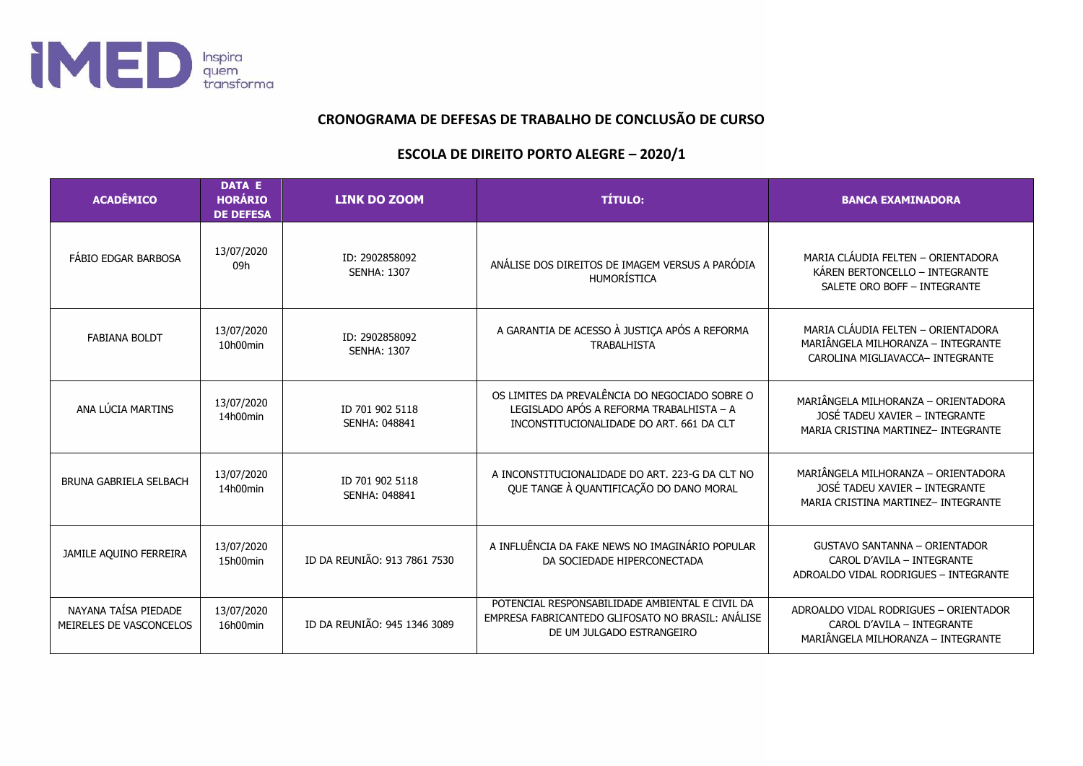

## **CRONOGRAMA DE DEFESAS DE TRABALHO DE CONCLUSÃO DE CURSO**

## **ESCOLA DE DIREITO PORTO ALEGRE – 2020/1**

| <b>ACADÊMICO</b>                                | <b>DATA E</b><br><b>HORÁRIO</b><br><b>DE DEFESA</b> | <b>LINK DO ZOOM</b>                     | <b>TÍTULO:</b>                                                                                                                         | <b>BANCA EXAMINADORA</b>                                                                                     |
|-------------------------------------------------|-----------------------------------------------------|-----------------------------------------|----------------------------------------------------------------------------------------------------------------------------------------|--------------------------------------------------------------------------------------------------------------|
| FÁBIO EDGAR BARBOSA                             | 13/07/2020<br>09h                                   | ID: 2902858092<br><b>SENHA: 1307</b>    | ANÁLISE DOS DIREITOS DE IMAGEM VERSUS A PARÓDIA<br>HUMORÍSTICA                                                                         | MARIA CLÁUDIA FELTEN - ORIENTADORA<br>KÁREN BERTONCELLO - INTEGRANTE<br>SALETE ORO BOFF - INTEGRANTE         |
| <b>FABIANA BOLDT</b>                            | 13/07/2020<br>10h00min                              | ID: 2902858092<br><b>SENHA: 1307</b>    | A GARANTIA DE ACESSO À JUSTIÇA APÓS A REFORMA<br><b>TRABALHISTA</b>                                                                    | MARIA CLÁUDIA FELTEN - ORIENTADORA<br>MARIÂNGELA MILHORANZA - INTEGRANTE<br>CAROLINA MIGLIAVACCA- INTEGRANTE |
| ANA LÚCIA MARTINS                               | 13/07/2020<br>14h00min                              | ID 701 902 5118<br>SENHA: 048841        | OS LIMITES DA PREVALÊNCIA DO NEGOCIADO SOBRE O<br>LEGISLADO APÓS A REFORMA TRABALHISTA - A<br>INCONSTITUCIONALIDADE DO ART. 661 DA CLT | MARIÂNGELA MILHORANZA - ORIENTADORA<br>JOSÉ TADEU XAVIER - INTEGRANTE<br>MARIA CRISTINA MARTINEZ- INTEGRANTE |
| <b>BRUNA GABRIELA SELBACH</b>                   | 13/07/2020<br>14h00min                              | ID 701 902 5118<br><b>SENHA: 048841</b> | A INCONSTITUCIONALIDADE DO ART. 223-G DA CLT NO<br>QUE TANGE À QUANTIFICAÇÃO DO DANO MORAL                                             | MARIÂNGELA MILHORANZA - ORIENTADORA<br>JOSÉ TADEU XAVIER - INTEGRANTE<br>MARIA CRISTINA MARTINEZ- INTEGRANTE |
| JAMILE AQUINO FERREIRA                          | 13/07/2020<br>15h00min                              | ID DA REUNIÃO: 913 7861 7530            | A INFLUÊNCIA DA FAKE NEWS NO IMAGINÁRIO POPULAR<br>DA SOCIEDADE HIPERCONECTADA                                                         | <b>GUSTAVO SANTANNA - ORIENTADOR</b><br>CAROL D'AVILA - INTEGRANTE<br>ADROALDO VIDAL RODRIGUES - INTEGRANTE  |
| NAYANA TAÍSA PIEDADE<br>MEIRELES DE VASCONCELOS | 13/07/2020<br>16h00min                              | ID DA REUNIÃO: 945 1346 3089            | POTENCIAL RESPONSABILIDADE AMBIENTAL E CIVIL DA<br>EMPRESA FABRICANTEDO GLIFOSATO NO BRASIL: ANÁLISE<br>DE UM JULGADO ESTRANGEIRO      | ADROALDO VIDAL RODRIGUES - ORIENTADOR<br>CAROL D'AVILA - INTEGRANTE<br>MARIÂNGELA MILHORANZA - INTEGRANTE    |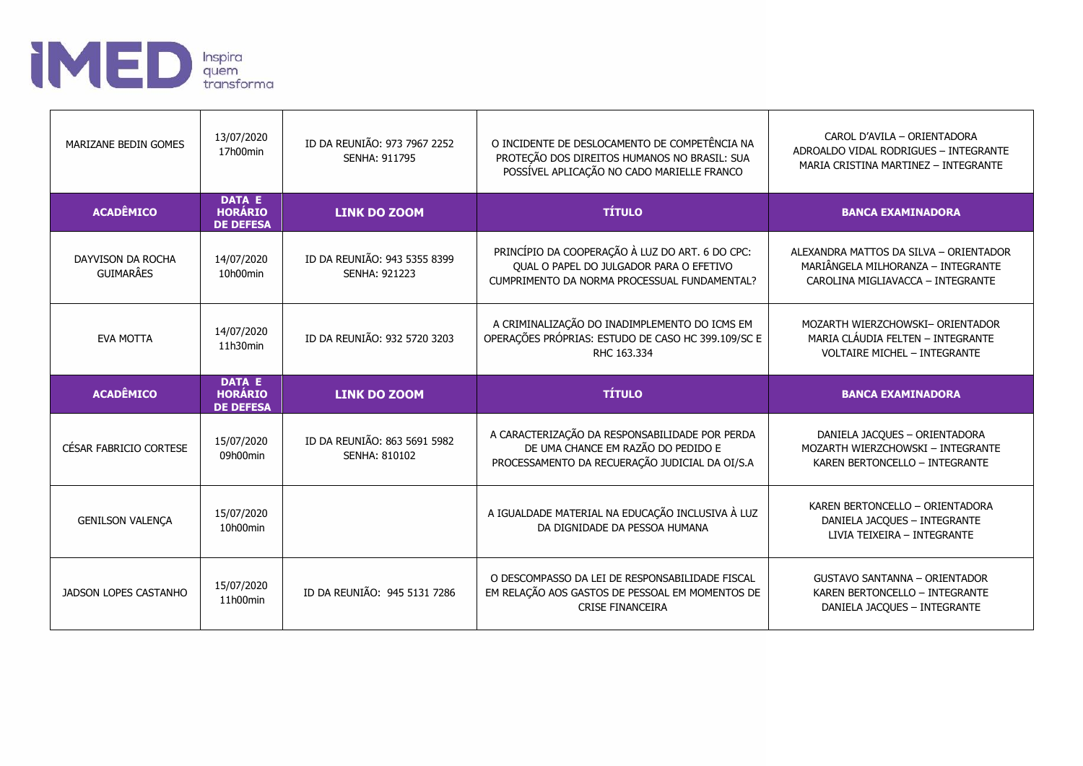

| MARIZANE BEDIN GOMES                  | 13/07/2020<br>17h00min                              | ID DA REUNIÃO: 973 7967 2252<br><b>SENHA: 911795</b> | O INCIDENTE DE DESLOCAMENTO DE COMPETÊNCIA NA<br>PROTEÇÃO DOS DIREITOS HUMANOS NO BRASIL: SUA<br>POSSÍVEL APLICAÇÃO NO CADO MARIELLE FRANCO | CAROL D'AVILA - ORIENTADORA<br>ADROALDO VIDAL RODRIGUES - INTEGRANTE<br>MARIA CRISTINA MARTINEZ - INTEGRANTE      |
|---------------------------------------|-----------------------------------------------------|------------------------------------------------------|---------------------------------------------------------------------------------------------------------------------------------------------|-------------------------------------------------------------------------------------------------------------------|
| <b>ACADÊMICO</b>                      | <b>DATA E</b><br><b>HORÁRIO</b><br><b>DE DEFESA</b> | <b>LINK DO ZOOM</b>                                  | <b>TÍTULO</b>                                                                                                                               | <b>BANCA EXAMINADORA</b>                                                                                          |
| DAYVISON DA ROCHA<br><b>GUIMARÂES</b> | 14/07/2020<br>10h00min                              | ID DA REUNIÃO: 943 5355 8399<br><b>SENHA: 921223</b> | PRINCÍPIO DA COOPERAÇÃO À LUZ DO ART. 6 DO CPC:<br>QUAL O PAPEL DO JULGADOR PARA O EFETIVO<br>CUMPRIMENTO DA NORMA PROCESSUAL FUNDAMENTAL?  | ALEXANDRA MATTOS DA SILVA - ORIENTADOR<br>MARIÂNGELA MILHORANZA - INTEGRANTE<br>CAROLINA MIGLIAVACCA - INTEGRANTE |
| <b>EVA MOTTA</b>                      | 14/07/2020<br>11h30min                              | ID DA REUNIÃO: 932 5720 3203                         | A CRIMINALIZAÇÃO DO INADIMPLEMENTO DO ICMS EM<br>OPERAÇÕES PRÓPRIAS: ESTUDO DE CASO HC 399.109/SC E<br>RHC 163.334                          | MOZARTH WIERZCHOWSKI- ORIENTADOR<br>MARIA CLÁUDIA FELTEN - INTEGRANTE<br><b>VOLTAIRE MICHEL - INTEGRANTE</b>      |
|                                       |                                                     |                                                      |                                                                                                                                             |                                                                                                                   |
| <b>ACADÊMICO</b>                      | DATA E<br><b>HORÁRIO</b><br><b>DE DEFESA</b>        | <b>LINK DO ZOOM</b>                                  | <b>TÍTULO</b>                                                                                                                               | <b>BANCA EXAMINADORA</b>                                                                                          |
| CÉSAR FABRICIO CORTESE                | 15/07/2020<br>09h00min                              | ID DA REUNIÃO: 863 5691 5982<br>SENHA: 810102        | A CARACTERIZAÇÃO DA RESPONSABILIDADE POR PERDA<br>DE UMA CHANCE EM RAZÃO DO PEDIDO E<br>PROCESSAMENTO DA RECUERAÇÃO JUDICIAL DA OI/S.A      | DANIELA JACQUES - ORIENTADORA<br>MOZARTH WIERZCHOWSKI - INTEGRANTE<br>KAREN BERTONCELLO - INTEGRANTE              |
| <b>GENILSON VALENÇA</b>               | 15/07/2020<br>10h00min                              |                                                      | A IGUALDADE MATERIAL NA EDUCAÇÃO INCLUSIVA À LUZ<br>DA DIGNIDADE DA PESSOA HUMANA                                                           | KAREN BERTONCELLO - ORIENTADORA<br>DANIELA JACQUES - INTEGRANTE<br>LIVIA TEIXEIRA - INTEGRANTE                    |